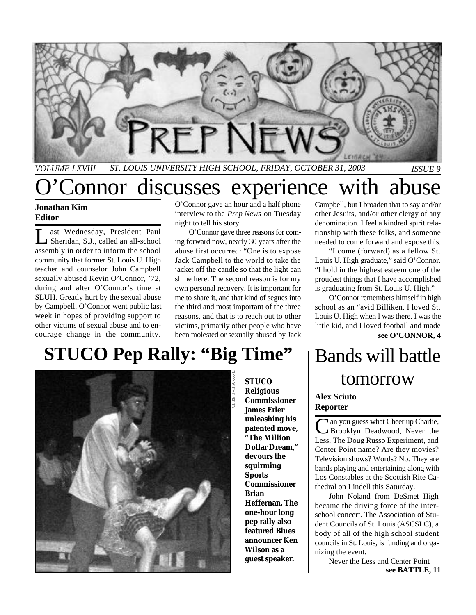

*VOLUME LXVIII ST. LOUIS UNIVERSITY HIGH SCHOOL, FRIDAY, OCTOBER 31, 2003 ISSUE 9*

# onnor discusses experience with abuse

#### **Jonathan Kim Editor**

L ast Wednesday, President Paul Sheridan, S.J., called an all-school assembly in order to inform the school community that former St. Louis U. High teacher and counselor John Campbell sexually abused Kevin O'Connor, '72, during and after O'Connor's time at SLUH. Greatly hurt by the sexual abuse by Campbell, O'Connor went public last week in hopes of providing support to other victims of sexual abuse and to encourage change in the community.

O'Connor gave an hour and a half phone interview to the *Prep News* on Tuesday night to tell his story.

O'Connor gave three reasons for coming forward now, nearly 30 years after the abuse first occurred: "One is to expose Jack Campbell to the world to take the jacket off the candle so that the light can shine here. The second reason is for my own personal recovery. It is important for me to share it, and that kind of segues into the third and most important of the three reasons, and that is to reach out to other victims, primarily other people who have been molested or sexually abused by Jack

### Campbell, but I broaden that to say and/or other Jesuits, and/or other clergy of any denomination. I feel a kindred spirit relationship with these folks, and someone needed to come forward and expose this.

"I come (forward) as a fellow St. Louis U. High graduate," said O'Connor. "I hold in the highest esteem one of the proudest things that I have accomplished is graduating from St. Louis U. High."

O'Connor remembers himself in high school as an "avid Billiken. I loved St. Louis U. High when I was there. I was the little kid, and I loved football and made **see O'CONNOR, 4**

# **STUCO Pep Rally: "Big Time"**



**STUCO Religious Commissioner James Erler unleashing his patented move, "The Million Dollar Dream," devours the squirming Sports Commissioner Brian Heffernan. The one-hour long pep rally also featured Blues announcer Ken Wilson as a guest speaker.**

# Bands will battle tomorrow

#### **Alex Sciuto Reporter**

Can you guess what Cheer up Charlie, A an you guess what Cheer up Charlie, Less, The Doug Russo Experiment, and Center Point name? Are they movies? Television shows? Words? No. They are bands playing and entertaining along with Los Constables at the Scottish Rite Cathedral on Lindell this Saturday.

John Noland from DeSmet High became the driving force of the interschool concert. The Association of Student Councils of St. Louis (ASCSLC), a body of all of the high school student councils in St. Louis, is funding and organizing the event.

**see BATTLE, 11** Never the Less and Center Point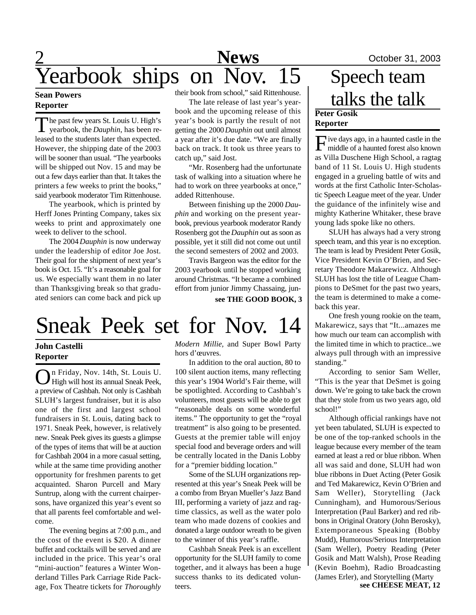#### **Sean Powers Reporter**

The past few years St. Louis U. High's yearbook, the *Dauphin*, has been re-The past few years St. Louis U. High's leased to the students later than expected. However, the shipping date of the 2003 will be sooner than usual. "The yearbooks will be shipped out Nov. 15 and may be out a few days earlier than that. It takes the printers a few weeks to print the books," said yearbook moderator Tim Rittenhouse.

The yearbook, which is printed by Herff Jones Printing Company, takes six weeks to print and approximately one week to deliver to the school.

The 2004 *Dauphin* is now underway under the leadership of editor Joe Jost. Their goal for the shipment of next year's book is Oct. 15. "It's a reasonable goal for us. We especially want them in no later than Thanksgiving break so that graduated seniors can come back and pick up their book from school," said Rittenhouse.

The late release of last year's yearbook and the upcoming release of this year's book is partly the result of not getting the 2000 *Dauphin* out until almost a year after it's due date. "We are finally back on track. It took us three years to catch up," said Jost.

"Mr. Rosenberg had the unfortunate task of walking into a situation where he had to work on three yearbooks at once," added Rittenhouse.

Between finishing up the 2000 *Dauphin* and working on the present yearbook, previous yearbook moderator Randy Rosenberg got the *Dauphin* out as soon as possible, yet it still did not come out until the second semesters of 2002 and 2003.

Travis Bargeon was the editor for the 2003 yearbook until he stopped working around Christmas. "It became a combined effort from junior Jimmy Chassaing, jun-

**see THE GOOD BOOK, 3**

# Sneak Peek set for Nov. 14

### **John Castelli Reporter**

O n Friday, Nov. 14th, St. Louis U. High will host its annual Sneak Peek, a preview of Cashbah. Not only is Cashbah SLUH's largest fundraiser, but it is also one of the first and largest school fundraisers in St. Louis, dating back to 1971. Sneak Peek, however, is relatively new. Sneak Peek gives its guests a glimpse of the types of items that will be at auction for Cashbah 2004 in a more casual setting, while at the same time providing another opportunity for freshmen parents to get acquainted. Sharon Purcell and Mary Suntrup, along with the current chairpersons, have organized this year's event so that all parents feel comfortable and welcome.

The evening begins at 7:00 p.m., and the cost of the event is \$20. A dinner buffet and cocktails will be served and are included in the price. This year's oral "mini-auction" features a Winter Wonderland Tilles Park Carriage Ride Package, Fox Theatre tickets for *Thoroughly*

*Modern Millie,* and Super Bowl Party hors d'œuvres.

In addition to the oral auction, 80 to 100 silent auction items, many reflecting this year's 1904 World's Fair theme, will be spotlighted. According to Cashbah's volunteers, most guests will be able to get "reasonable deals on some wonderful items." The opportunity to get the "royal treatment" is also going to be presented. Guests at the premier table will enjoy special food and beverage orders and will be centrally located in the Danis Lobby for a "premier bidding location."

Some of the SLUH organizations represented at this year's Sneak Peek will be a combo from Bryan Mueller's Jazz Band III, performing a variety of jazz and ragtime classics, as well as the water polo team who made dozens of cookies and donated a large outdoor wreath to be given to the winner of this year's raffle.

Cashbah Sneak Peek is an excellent opportunity for the SLUH family to come together, and it always has been a huge success thanks to its dedicated volunteers.

### **Peter Gosik Reporter** Speech team talks the talk

Five days ago, in a haunted castle in the middle of a haunted forest also known middle of a haunted forest also known as Villa Duschene High School, a ragtag band of 11 St. Louis U. High students engaged in a grueling battle of wits and words at the first Catholic Inter-Scholastic Speech League meet of the year. Under the guidance of the infinitely wise and mighty Katherine Whitaker, these brave young lads spoke like no others.

SLUH has always had a very strong speech team, and this year is no exception. The team is lead by President Peter Gosik, Vice President Kevin O'Brien, and Secretary Theodore Makarewicz. Although SLUH has lost the title of League Champions to DeSmet for the past two years, the team is determined to make a comeback this year.

One fresh young rookie on the team, Makarewicz, says that "It...amazes me how much our team can accomplish with the limited time in which to practice...we always pull through with an impressive standing."

According to senior Sam Weller, "This is the year that DeSmet is going down. We're going to take back the crown that they stole from us two years ago, old school!"

Although official rankings have not yet been tabulated, SLUH is expected to be one of the top-ranked schools in the league because every member of the team earned at least a red or blue ribbon. When all was said and done, SLUH had won blue ribbons in Duet Acting (Peter Gosik and Ted Makarewicz, Kevin O'Brien and Sam Weller), Storytelling (Jack Cunningham), and Humorous/Serious Interpretation (Paul Barker) and red ribbons in Original Oratory (John Berosky), Extemporaneous Speaking (Bobby Mudd), Humorous/Serious Interpretation (Sam Weller), Poetry Reading (Peter Gosik and Matt Walsh), Prose Reading (Kevin Boehm), Radio Broadcasting (James Erler), and Storytelling (Marty **see CHEESE MEAT, 12**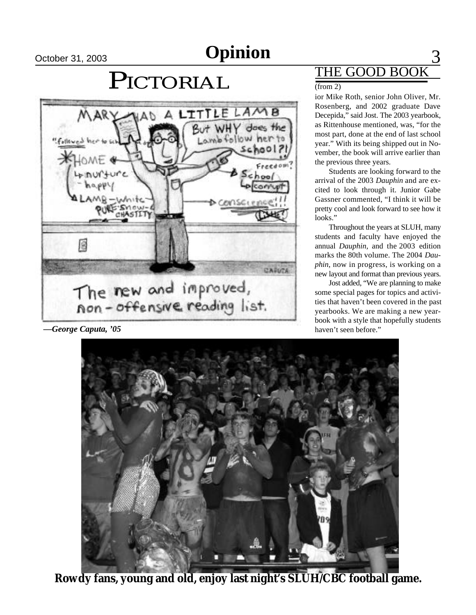## **Opinion Opinion**

# PICTORIAL



*—George Caputa, '05*

## THE GOOD BOO

#### $(from 2)$

ior Mike Roth, senior John Oliver, Mr. Rosenberg, and 2002 graduate Dave Decepida," said Jost. The 2003 yearbook, as Rittenhouse mentioned, was, "for the most part, done at the end of last school year." With its being shipped out in November, the book will arrive earlier than the previous three years.

Students are looking forward to the arrival of the 2003 *Dauphin* and are excited to look through it. Junior Gabe Gassner commented, "I think it will be pretty cool and look forward to see how it looks."

Throughout the years at SLUH, many students and faculty have enjoyed the annual *Dauphin*, and the 2003 edition marks the 80th volume. The 2004 *Dauphin*, now in progress, is working on a new layout and format than previous years.

Jost added, "We are planning to make some special pages for topics and activities that haven't been covered in the past yearbooks. We are making a new yearbook with a style that hopefully students haven't seen before."



**Rowdy fans, young and old, enjoy last night's SLUH/CBC football game.**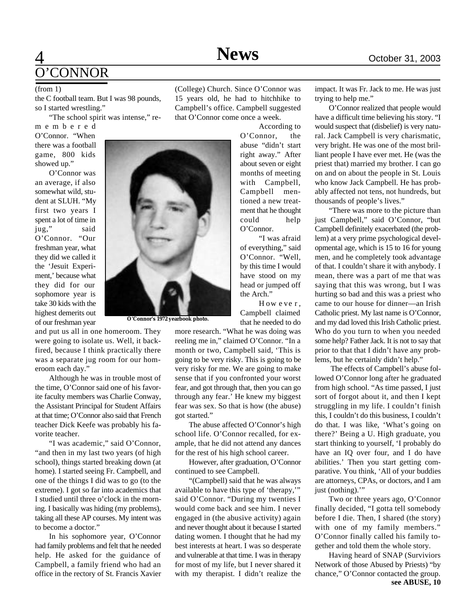### 4 **News** October 31, 2003 O'CONNOR

the C football team. But I was 98 pounds, so I started wrestling."

"The school spirit was intense," re-

m e m b e r e d O'Connor. "When there was a football game, 800 kids showed up."

O'Connor was an average, if also somewhat wild, student at SLUH. "My first two years I spent a lot of time in jug," said O'Connor. "Our freshman year, what they did we called it the 'Jesuit Experiment,' because what they did for our sophomore year is take 30 kids with the highest demerits out of our freshman year



and put us all in one homeroom. They were going to isolate us. Well, it backfired, because I think practically there was a separate jug room for our homeroom each day."

Although he was in trouble most of the time, O'Connor said one of his favorite faculty members was Charlie Conway, the Assistant Principal for Student Affairs at that time; O'Connor also said that French teacher Dick Keefe was probably his favorite teacher.

"I was academic," said O'Connor, "and then in my last two years (of high school), things started breaking down (at home). I started seeing Fr. Campbell, and one of the things I did was to go (to the extreme). I got so far into academics that I studied until three o'clock in the morning. I basically was hiding (my problems), taking all these AP courses. My intent was to become a doctor."

In his sophomore year, O'Connor had family problems and felt that he needed help. He asked for the guidance of Campbell, a family friend who had an office in the rectory of St. Francis Xavier

(from 1) (College) Church. Since O'Connor was 15 years old, he had to hitchhike to Campbell's office. Campbell suggested that O'Connor come once a week.

> According to O'Connor, the abuse "didn't start right away." After about seven or eight months of meeting with Campbell, Campbell mentioned a new treatment that he thought could help O'Connor.

"I was afraid of everything," said O'Connor. "Well, by this time I would have stood on my head or jumped off the Arch."

H ow e ve r , Campbell claimed that he needed to do

more research. "What he was doing was reeling me in," claimed O'Connor. "In a month or two, Campbell said, 'This is going to be very risky. This is going to be very risky for me. We are going to make sense that if you confronted your worst fear, and got through that, then you can go through any fear.' He knew my biggest fear was sex. So that is how (the abuse) got started."

The abuse affected O'Connor's high school life. O'Connor recalled, for example, that he did not attend any dances for the rest of his high school career.

However, after graduation, O'Connor continued to see Campbell.

"(Campbell) said that he was always available to have this type of 'therapy,'" said O'Connor. "During my twenties I would come back and see him. I never engaged in (the abusive activity) again and never thought about it because I started dating women. I thought that he had my best interests at heart. I was so desperate and vulnerable at that time. I was in therapy for most of my life, but I never shared it with my therapist. I didn't realize the

impact. It was Fr. Jack to me. He was just trying to help me."

O'Connor realized that people would have a difficult time believing his story. "I would suspect that (disbelief) is very natural. Jack Campbell is very charismatic, very bright. He was one of the most brilliant people I have ever met. He (was the priest that) married my brother. I can go on and on about the people in St. Louis who know Jack Campbell. He has probably affected not tens, not hundreds, but thousands of people's lives."

"There was more to the picture than just Campbell," said O'Connor, "but Campbell definitely exacerbated (the problem) at a very prime psychological developmental age, which is 15 to 16 for young men, and he completely took advantage of that. I couldn't share it with anybody. I mean, there was a part of me that was saying that this was wrong, but I was hurting so bad and this was a priest who came to our house for dinner—an Irish Catholic priest. My last name is O'Connor, and my dad loved this Irish Catholic priest. Who do you turn to when you needed some help? Father Jack. It is not to say that prior to that that I didn't have any problems, but he certainly didn't help."

 The effects of Campbell's abuse followed O'Connor long after he graduated from high school. "As time passed, I just sort of forgot about it, and then I kept struggling in my life. I couldn't finish this, I couldn't do this business, I couldn't do that. I was like, 'What's going on there?' Being a U. High graduate, you start thinking to yourself, 'I probably do have an IQ over four, and I do have abilities.' Then you start getting comparative. You think, 'All of your buddies are attorneys, CPAs, or doctors, and I am just (nothing)."

Two or three years ago, O'Connor finally decided, "I gotta tell somebody before I die. Then, I shared (the story) with one of my family members." O'Connor finally called his family together and told them the whole story.

Having heard of SNAP (Surviviors Network of those Abused by Priests) "by chance," O'Connor contacted the group. **see ABUSE, 10**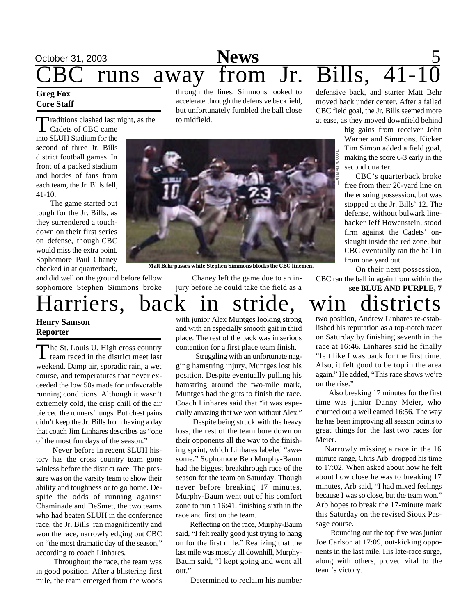## October 31, 2003 **News** 5  $\frac{S_{03}}{S_{03}}$  away from Jr. Bills,

### **Greg Fox Core Staff**

Traditions clashed last<br>Cadets of CBC came raditions clashed last night, as the

into SLUH Stadium for the second of three Jr. Bills district football games. In front of a packed stadium and hordes of fans from each team, the Jr. Bills fell, 41-10.

 The game started out tough for the Jr. Bills, as they surrendered a touchdown on their first series on defense, though CBC would miss the extra point. Sophomore Paul Chaney checked in at quarterback,

and did well on the ground before fellow sophomore Stephen Simmons broke through the lines. Simmons looked to accelerate through the defensive backfield, but unfortunately fumbled the ball close to midfield.



**Matt Behr passes while Stephen Simmons blocks the CBC linemen.**

 Chaney left the game due to an injury before he could take the field as a

Harriers, back in stride, win districts

### **Henry Samson Reporter**

The St. Louis U. High cross country<br>team raced in the district meet last The St. Louis U. High cross country weekend. Damp air, sporadic rain, a wet course, and temperatures that never exceeded the low 50s made for unfavorable running conditions. Although it wasn't extremely cold, the crisp chill of the air pierced the runners' lungs. But chest pains didn't keep the Jr. Bills from having a day that coach Jim Linhares describes as "one of the most fun days of the season."

 Never before in recent SLUH history has the cross country team gone winless before the district race. The pressure was on the varsity team to show their ability and toughness or to go home. Despite the odds of running against Chaminade and DeSmet, the two teams who had beaten SLUH in the conference race, the Jr. Bills ran magnificently and won the race, narrowly edging out CBC on "the most dramatic day of the season," according to coach Linhares.

 Throughout the race, the team was in good position. After a blistering first mile, the team emerged from the woods

with junior Alex Muntges looking strong and with an especially smooth gait in third place. The rest of the pack was in serious contention for a first place team finish.

 Struggling with an unfortunate nagging hamstring injury, Muntges lost his position. Despite eventually pulling his hamstring around the two-mile mark, Muntges had the guts to finish the race. Coach Linhares said that "it was especially amazing that we won without Alex."

 Despite being struck with the heavy loss, the rest of the team bore down on their opponents all the way to the finishing sprint, which Linhares labeled "awesome." Sophomore Ben Murphy-Baum had the biggest breakthrough race of the season for the team on Saturday. Though never before breaking 17 minutes, Murphy-Baum went out of his comfort zone to run a 16:41, finishing sixth in the race and first on the team.

Reflecting on the race, Murphy-Baum said, "I felt really good just trying to hang on for the first mile." Realizing that the last mile was mostly all downhill, Murphy-Baum said, "I kept going and went all out."

Determined to reclaim his number

defensive back, and starter Matt Behr moved back under center. After a failed CBC field goal, the Jr. Bills seemed more at ease, as they moved downfield behind

> big gains from receiver John Warner and Simmons. Kicker Tim Simon added a field goal, making the score 6-3 early in the second quarter.

> CBC's quarterback broke free from their 20-yard line on the ensuing possession, but was stopped at the Jr. Bills' 12. The defense, without bulwark linebacker Jeff Howenstein, stood firm against the Cadets' onslaught inside the red zone, but CBC eventually ran the ball in from one yard out.

 On their next possession, CBC ran the ball in again from within the **see BLUE AND PURPLE, 7**

two position, Andrew Linhares re-established his reputation as a top-notch racer on Saturday by finishing seventh in the race at 16:46. Linhares said he finally "felt like I was back for the first time.

Also, it felt good to be top in the area again." He added, "This race shows we're on the rise."

 Also breaking 17 minutes for the first time was junior Danny Meier, who churned out a well earned 16:56. The way he has been improving all season points to great things for the last two races for Meier.

 Narrowly missing a race in the 16 minute range, Chris Arb dropped his time to 17:02. When asked about how he felt about how close he was to breaking 17 minutes, Arb said, "I had mixed feelings because I was so close, but the team won." Arb hopes to break the 17-minute mark this Saturday on the revised Sioux Passage course.

 Rounding out the top five was junior Joe Carlson at 17:09, out-kicking opponents in the last mile. His late-race surge, along with others, proved vital to the team's victory.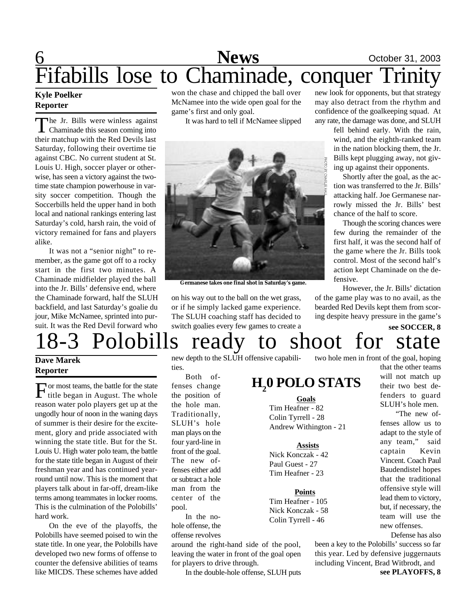## 6 **News** October 31, 2003 Fifabills lose to Chaminade, conquer Trinity

#### **Kyle Poelker Reporter**

The Jr. Bills were winless against<br>Chaminade this season coming into he Jr. Bills were winless against their matchup with the Red Devils last Saturday, following their overtime tie against CBC. No current student at St. Louis U. High, soccer player or otherwise, has seen a victory against the twotime state champion powerhouse in varsity soccer competition. Though the Soccerbills held the upper hand in both local and national rankings entering last Saturday's cold, harsh rain, the void of victory remained for fans and players alike.

It was not a "senior night" to remember, as the game got off to a rocky start in the first two minutes. A Chaminade midfielder played the ball into the Jr. Bills' defensive end, where the Chaminade forward, half the SLUH backfield, and last Saturday's goalie du jour, Mike McNamee, sprinted into pursuit. It was the Red Devil forward who

won the chase and chipped the ball over McNamee into the wide open goal for the game's first and only goal.

It was hard to tell if McNamee slipped



**Germanese takes one final shot in Saturday's game.**

on his way out to the ball on the wet grass, or if he simply lacked game experience. The SLUH coaching staff has decided to switch goalies every few games to create a

new look for opponents, but that strategy may also detract from the rhythm and confidence of the goalkeeping squad. At any rate, the damage was done, and SLUH

> fell behind early. With the rain, wind, and the eighth-ranked team in the nation blocking them, the Jr. Bills kept plugging away, not giving up against their opponents.

Shortly after the goal, as the action was transferred to the Jr. Bills' attacking half. Joe Germanese narrowly missed the Jr. Bills' best chance of the half to score.

Though the scoring chances were few during the remainder of the first half, it was the second half of the game where the Jr. Bills took control. Most of the second half's action kept Chaminade on the defensive.

However, the Jr. Bills' dictation of the game play was to no avail, as the bearded Red Devils kept them from scoring despite heavy pressure in the game's

**see SOCCER, 8**

### two hole men in front of the goal, hoping 18-3 Polobills ready to shoot for state

### **Dave Marek Reporter**

 $\Gamma$  or most teams, the battle for the state title began in August. The whole or most teams, the battle for the state reason water polo players get up at the ungodly hour of noon in the waning days of summer is their desire for the excitement, glory and pride associated with winning the state title. But for the St. Louis U. High water polo team, the battle for the state title began in August of their freshman year and has continued yearround until now. This is the moment that players talk about in far-off, dream-like terms among teammates in locker rooms. This is the culmination of the Polobills' hard work.

On the eve of the playoffs, the Polobills have seemed poised to win the state title. In one year, the Polobills have developed two new forms of offense to counter the defensive abilities of teams like MICDS. These schemes have added

#### new depth to the SLUH offensive capabilities.

Both offenses change the position of the hole man. Traditionally, SLUH's hole man plays on the four yard-line in front of the goal. The new offenses either add or subtract a hole man from the center of the pool.

In the nohole offense, the offense revolves

around the right-hand side of the pool, leaving the water in front of the goal open for players to drive through.

In the double-hole offense, SLUH puts

## **H2 0 POLO STATS**

 **Goals** Tim Heafner - 82 Colin Tyrrell - 28 Andrew Withington - 21

#### **Assists**

Nick Konczak - 42 Paul Guest - 27 Tim Heafner - 23

#### **Points**

Tim Heafner - 105 Nick Konczak - 58 Colin Tyrrell - 46

that the other teams will not match up their two best defenders to guard SLUH's hole men.

> "The new offenses allow us to adapt to the style of any team," said captain Kevin Vincent. Coach Paul Baudendistel hopes that the traditional offensive style will lead them to victory, but, if necessary, the team will use the new offenses.

Defense has also

been a key to the Polobills' success so far this year. Led by defensive juggernauts including Vincent, Brad Witbrodt, and **see PLAYOFFS, 8**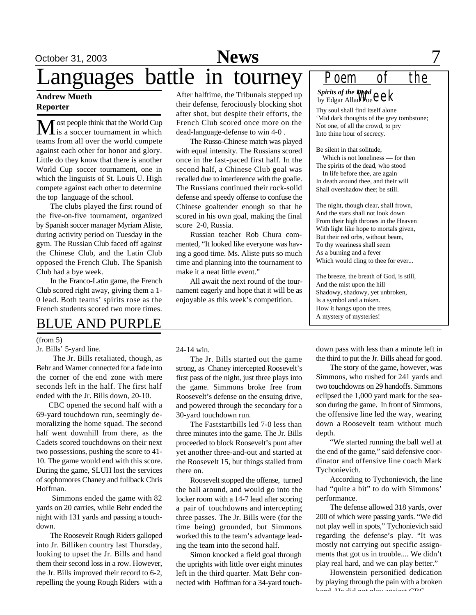## October 31, 2003 **News** 7 Languages battle in tourney

#### **Andrew Mueth Reporter**

ost people think that the World Cup is a soccer tournament in which teams from all over the world compete against each other for honor and glory. Little do they know that there is another World Cup soccer tournament, one in which the linguists of St. Louis U. High compete against each other to determine the top language of the school.

The clubs played the first round of the five-on-five tournament, organized by Spanish soccer manager Myriam Aliste, during activity period on Tuesday in the gym. The Russian Club faced off against the Chinese Club, and the Latin Club opposed the French Club. The Spanish Club had a bye week.

In the Franco-Latin game, the French Club scored right away, giving them a 1- 0 lead. Both teams' spirits rose as the French students scored two more times.

### BLUE AND PURPLE

#### (from 5)

Jr. Bills' 5-yard line.

 The Jr. Bills retaliated, though, as Behr and Warner connected for a fade into the corner of the end zone with mere seconds left in the half. The first half ended with the Jr. Bills down, 20-10.

 CBC opened the second half with a 69-yard touchdown run, seemingly demoralizing the home squad. The second half went downhill from there, as the Cadets scored touchdowns on their next two possessions, pushing the score to 41- 10. The game would end with this score. During the game, SLUH lost the services of sophomores Chaney and fullback Chris Hoffman.

 Simmons ended the game with 82 yards on 20 carries, while Behr ended the night with 131 yards and passing a touchdown.

The Roosevelt Rough Riders galloped into Jr. Billiken country last Thursday, looking to upset the Jr. Bills and hand them their second loss in a row. However, the Jr. Bills improved their record to 6-2, repelling the young Rough Riders with a After halftime, the Tribunals stepped up their defense, ferociously blocking shot after shot, but despite their efforts, the French Club scored once more on the dead-language-defense to win 4-0 .

The Russo-Chinese match was played with equal intensity. The Russians scored once in the fast-paced first half. In the second half, a Chinese Club goal was recalled due to interference with the goalie. The Russians continued their rock-solid defense and speedy offense to confuse the Chinese goaltender enough so that he scored in his own goal, making the final score 2-0, Russia.

Russian teacher Rob Chura commented, "It looked like everyone was having a good time. Ms. Aliste puts so much time and planning into the tournament to make it a neat little event."

All await the next round of the tournament eagerly and hope that it will be as enjoyable as this week's competition.

*Spirits of the Dead* Spirits of the D**egal**<br>by Edgar Allan**Po**e *C C K Poem of the*

Thy soul shall find itself alone 'Mid dark thoughts of the grey tombstone; Not one, of all the crowd, to pry Into thine hour of secrecy.

Be silent in that solitude,

 Which is not loneliness — for then The spirits of the dead, who stood In life before thee, are again

In death around thee, and their will Shall overshadow thee; be still.

The night, though clear, shall frown, And the stars shall not look down From their high thrones in the Heaven With light like hope to mortals given, But their red orbs, without beam, To thy weariness shall seem As a burning and a fever Which would cling to thee for ever...

The breeze, the breath of God, is still, And the mist upon the hill Shadowy, shadowy, yet unbroken, Is a symbol and a token. How it hangs upon the trees, A mystery of mysteries!

24-14 win.

The Jr. Bills started out the game strong, as Chaney intercepted Roosevelt's first pass of the night, just three plays into the game. Simmons broke free from Roosevelt's defense on the ensuing drive, and powered through the secondary for a 30-yard touchdown run.

The Faststartbills led 7-0 less than three minutes into the game. The Jr. Bills proceeded to block Roosevelt's punt after yet another three-and-out and started at the Roosevelt 15, but things stalled from there on.

Roosevelt stopped the offense, turned the ball around, and would go into the locker room with a 14-7 lead after scoring a pair of touchdowns and intercepting three passes. The Jr. Bills were (for the time being) grounded, but Simmons worked this to the team's advantage leading the team into the second half.

Simon knocked a field goal through the uprights with little over eight minutes left in the third quarter. Matt Behr connected with Hoffman for a 34-yard touchdown pass with less than a minute left in the third to put the Jr. Bills ahead for good.

The story of the game, however, was Simmons, who rushed for 241 yards and two touchdowns on 29 handoffs. Simmons eclipsed the 1,000 yard mark for the season during the game. In front of Simmons, the offensive line led the way, wearing down a Roosevelt team without much depth.

"We started running the ball well at the end of the game," said defensive coordinator and offensive line coach Mark Tychonievich.

According to Tychonievich, the line had "quite a bit" to do with Simmons' performance.

The defense allowed 318 yards, over 200 of which were passing yards. "We did not play well in spots," Tychonievich said regarding the defense's play. "It was mostly not carrying out specific assignments that got us in trouble.... We didn't play real hard, and we can play better."

Howenstein personified dedication by playing through the pain with a broken hand. He did not play against CBC.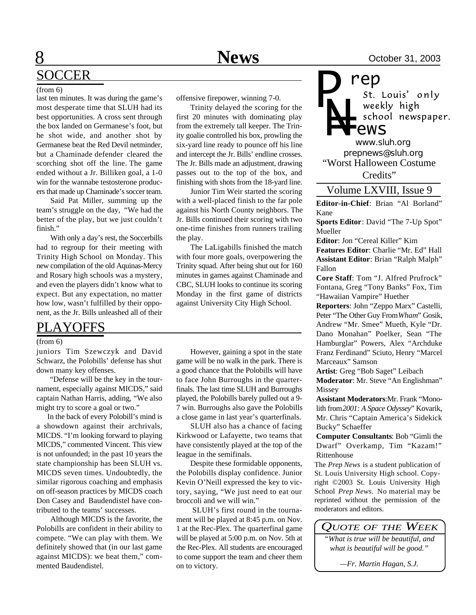#### (from 6)

last ten minutes. It was during the game's most desperate time that SLUH had its best opportunities. A cross sent through the box landed on Germanese's foot, but he shot wide, and another shot by Germanese beat the Red Devil netminder, but a Chaminade defender cleared the scorching shot off the line. The game ended without a Jr. Billiken goal, a 1-0 win for the wannabe testosterone producers that made up Chaminade's soccer team.

Said Pat Miller, summing up the team's struggle on the day, "We had the better of the play, but we just couldn't finish."

With only a day's rest, the Soccerbills had to regroup for their meeting with Trinity High School on Monday. This new compilation of the old Aquinas-Mercy and Rosary high schools was a mystery, and even the players didn't know what to expect. But any expectation, no matter how low, wasn't fulfilled by their opponent, as the Jr. Bills unleashed all of their

### PLAYOFFS

#### (from 6)

juniors Tim Szewczyk and David Schwarz, the Polobills' defense has shut down many key offenses.

 "Defense will be the key in the tournament, especially against MICDS," said captain Nathan Harris, adding, "We also might try to score a goal or two."

 In the back of every Polobill's mind is a showdown against their archrivals, MICDS. "I'm looking forward to playing MICDS," commented Vincent. This view is not unfounded; in the past 10 years the state championship has been SLUH vs. MICDS seven times. Undoubtedly, the similar rigorous coaching and emphasis on off-season practices by MICDS coach Don Casey and Baudendistel have contributed to the teams' successes.

Although MICDS is the favorite, the Polobills are confident in their ability to compete. "We can play with them. We definitely showed that (in our last game against MICDS): we beat them," commented Baudendistel.

offensive firepower, winning 7-0.

Trinity delayed the scoring for the first 20 minutes with dominating play from the extremely tall keeper. The Trinity goalie controlled his box, prowling the six-yard line ready to pounce off his line and intercept the Jr. Bills' endline crosses. The Jr. Bills made an adjustment, drawing passes out to the top of the box, and finishing with shots from the 18-yard line.

Junior Tim Weir started the scoring with a well-placed finish to the far pole against his North County neighbors. The Jr. Bills continued their scoring with two one-time finishes from runners trailing the play.

The LaLigabills finished the match with four more goals, overpowering the Trinity squad. After being shut out for 160 minutes in games against Chaminade and CBC, SLUH looks to continue its scoring Monday in the first game of districts against University City High School.

However, gaining a spot in the state game will be no walk in the park. There is a good chance that the Polobills will have to face John Burroughs in the quarterfinals. The last time SLUH and Burroughs played, the Polobills barely pulled out a 9- 7 win. Burroughs also gave the Polobills a close game in last year's quarterfinals.

SLUH also has a chance of facing Kirkwood or Lafayette, two teams that have consistently played at the top of the league in the semifinals.

Despite these formidable opponents, the Polobills display confidence. Junior Kevin O'Neill expressed the key to victory, saying, "We just need to eat our broccoli and we will win."

 SLUH's first round in the tournament will be played at 8:45 p.m. on Nov. 1 at the Rec-Plex. The quarterfinal game will be played at 5:00 p.m. on Nov. 5th at the Rec-Plex. All students are encouraged to come support the team and cheer them on to victory.

**rep**<br>*st. Louis' only* weekly high *ews*

*prepnews@sluh.org N= www.sluh.org* "Worst Halloween Costume Credits"

*P*

Volume LXVIII, Issue 9

**Editor-in-Chief**: Brian "Al Borland" Kane

**Sports Editor**: David "The 7-Up Spot" Mueller

**Editor**: Jon "Cereal Killer" Kim **Features Editor**: Charlie "Mr. Ed" Hall **Assistant Editor**: Brian "Ralph Malph" Fallon

**Core Staff**: Tom "J. Alfred Prufrock" Fontana, Greg "Tony Banks" Fox, Tim "Hawaiian Vampire" Huether

**Reporters**: John "Zeppo Marx" Castelli, Peter "The Other Guy From *Wham*" Gosik, Andrew "Mr. Smee" Mueth, Kyle "Dr. Dano Monahan" Poelker, Sean "The Hamburglar" Powers, Alex "Archduke Franz Ferdinand" Sciuto, Henry "Marcel Marceaux" Samson

**Artist**: Greg "Bob Saget" Leibach

**Moderator**: Mr. Steve "An Englishman" Missey

**Assistant Moderators**:Mr. Frank "Monolith from *2001: A Space Odyssey*" Kovarik, Mr. Chris "Captain America's Sidekick Bucky" Schaeffer

**Computer Consultants**: Bob "Gimli the Dwarf" Overkamp, Tim "Kazam!" Rittenhouse

The *Prep News* is a student publication of St. Louis University High school. Copyright ©2003 St. Louis University High School *Prep News.* No material may be reprinted without the permission of the moderators and editors.

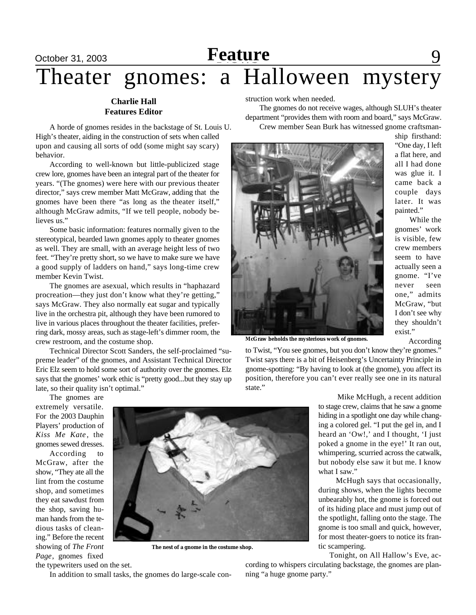# October 31, 2003 **Feature** 9 Theater gnomes: a Halloween mystery

### **Charlie Hall Features Editor**

A horde of gnomes resides in the backstage of St. Louis U. High's theater, aiding in the construction of sets when called upon and causing all sorts of odd (some might say scary) behavior.

According to well-known but little-publicized stage crew lore, gnomes have been an integral part of the theater for years. "(The gnomes) were here with our previous theater director," says crew member Matt McGraw, adding that the gnomes have been there "as long as the theater itself," although McGraw admits, "If we tell people, nobody believes us."

Some basic information: features normally given to the stereotypical, bearded lawn gnomes apply to theater gnomes as well. They are small, with an average height less of two feet. "They're pretty short, so we have to make sure we have a good supply of ladders on hand," says long-time crew member Kevin Twist.

The gnomes are asexual, which results in "haphazard procreation—they just don't know what they're getting," says McGraw. They also normally eat sugar and typically live in the orchestra pit, although they have been rumored to live in various places throughout the theater facilities, preferring dark, mossy areas, such as stage-left's dimmer room, the crew restroom, and the costume shop.

Technical Director Scott Sanders, the self-proclaimed "supreme leader" of the gnomes, and Assistant Technical Director Eric Elz seem to hold some sort of authority over the gnomes. Elz says that the gnomes' work ethic is "pretty good...but they stay up late, so their quality isn't optimal."

struction work when needed.

The gnomes do not receive wages, although SLUH's theater department "provides them with room and board," says McGraw. Crew member Sean Burk has witnessed gnome craftsman-



**McGraw beholds the mysterious work of gnomes.**

to Twist, "You see gnomes, but you don't know they're gnomes." Twist says there is a bit of Heisenberg's Uncertainty Principle in gnome-spotting: "By having to look at (the gnome), you affect its position, therefore you can't ever really see one in its natural state."

The gnomes are extremely versatile. For the 2003 Dauphin Players' production of *Kiss Me Kate* , the gnomes sewed dresses.

According to McGraw, after the show, "They ate all the lint from the costume shop, and sometimes they eat sawdust from the shop, saving human hands from the tedious tasks of cleaning." Before the recent showing of *The Front Page*, gnomes fixed



**The nest of a gnome in the costume shop.**

the typewriters used on the set.

In addition to small tasks, the gnomes do large-scale con-

ing a colored gel. "I put the gel in, and I heard an 'Ow!,' and I thought, 'I just poked a gnome in the eye!' It ran out, whimpering, scurried across the catwalk, but nobody else saw it but me. I know what I saw." McHugh says that occasionally, during shows, when the lights become unbearably hot, the gnome is forced out

 Mike McHugh, a recent addition to stage crew, claims that he saw a gnome hiding in a spotlight one day while chang-

of its hiding place and must jump out of the spotlight, falling onto the stage. The gnome is too small and quick, however, for most theater-goers to notice its frantic scampering.

Tonight, on All Hallow's Eve, according to whispers circulating backstage, the gnomes are planning "a huge gnome party."

ship firsthand: "One day, I left a flat here, and all I had done was glue it. I came back a couple days later. It was painted."

 While the gnomes' work is visible, few crew members seem to have actually seen a gnome. "I've never seen one," admits McGraw, "but I don't see why they shouldn't exist."

According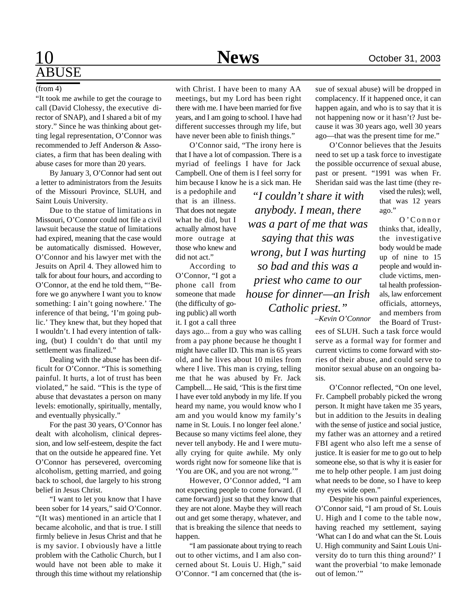#### (from 4)

"It took me awhile to get the courage to call (David Clohessy, the executive director of SNAP), and I shared a bit of my story." Since he was thinking about getting legal representation, O'Connor was recommended to Jeff Anderson & Associates, a firm that has been dealing with abuse cases for more than 20 years.

By January 3, O'Connor had sent out a letter to administrators from the Jesuits of the Missouri Province, SLUH, and Saint Louis University.

Due to the statue of limitations in Missouri, O'Connor could not file a civil lawsuit because the statue of limitations had expired, meaning that the case would be automatically dismissed. However, O'Connor and his lawyer met with the Jesuits on April 4. They allowed him to talk for about four hours, and according to O'Connor, at the end he told them, "'Before we go anywhere I want you to know something: I ain't going nowhere.' The inference of that being, 'I'm going public.' They knew that, but they hoped that I wouldn't. I had every intention of talking, (but) I couldn't do that until my settlement was finalized."

Dealing with the abuse has been difficult for O'Connor. "This is something painful. It hurts, a lot of trust has been violated," he said. "This is the type of abuse that devastates a person on many levels: emotionally, spiritually, mentally, and eventually physically."

For the past 30 years, O'Connor has dealt with alcoholism, clinical depression, and low self-esteem, despite the fact that on the outside he appeared fine. Yet O'Connor has persevered, overcoming alcoholism, getting married, and going back to school, due largely to his strong belief in Jesus Christ.

"I want to let you know that I have been sober for 14 years," said O'Connor. "(It was) mentioned in an article that I became alcoholic, and that is true. I still firmly believe in Jesus Christ and that he is my savior. I obviously have a little problem with the Catholic Church, but I would have not been able to make it through this time without my relationship with Christ. I have been to many AA meetings, but my Lord has been right there with me. I have been married for five years, and I am going to school. I have had different successes through my life, but have never been able to finish things."

O'Connor said, "The irony here is that I have a lot of compassion. There is a myriad of feelings I have for Jack Campbell. One of them is I feel sorry for him because I know he is a sick man. He

is a pedophile and that is an illness. That does not negate what he did, but I actually almost have more outrage at those who knew and did not act."

According to O'Connor, "I got a phone call from someone that made (the difficulty of going public) all worth it. I got a call three

days ago... from a guy who was calling from a pay phone because he thought I might have caller ID. This man is 65 years old, and he lives about 10 miles from where I live. This man is crying, telling me that he was abused by Fr. Jack Campbell.... He said, 'This is the first time I have ever told anybody in my life. If you heard my name, you would know who I am and you would know my family's name in St. Louis. I no longer feel alone.' Because so many victims feel alone, they never tell anybody. He and I were mutually crying for quite awhile. My only words right now for someone like that is 'You are OK, and you are not wrong.'"

However, O'Connor added, "I am not expecting people to come forward. (I came forward) just so that they know that they are not alone. Maybe they will reach out and get some therapy, whatever, and that is breaking the silence that needs to happen.

"I am passionate about trying to reach out to other victims, and I am also concerned about St. Louis U. High," said O'Connor. "I am concerned that (the issue of sexual abuse) will be dropped in complacency. If it happened once, it can happen again, and who is to say that it is not happening now or it hasn't? Just because it was 30 years ago, well 30 years ago—that was the present time for me."

O'Connor believes that the Jesuits need to set up a task force to investigate the possible occurrence of sexual abuse, past or present. "1991 was when Fr. Sheridan said was the last time (they re-

vised the rules); well, that was 12 years ago." thinks that, ideally, the investigative body would be made up of nine to 15 people and would include victims, mental health professionals, law enforcement officials, attorneys, and members from *"I couldn't share it with anybody. I mean, there was a part of me that was saying that this was wrong, but I was hurting so bad and this was a priest who came to our house for dinner—an Irish Catholic priest."*

*–Kevin O'Connor*

ees of SLUH. Such a task force would serve as a formal way for former and current victims to come forward with stories of their abuse, and could serve to monitor sexual abuse on an ongoing basis.

O'Connor reflected, "On one level, Fr. Campbell probably picked the wrong person. It might have taken me 35 years, but in addition to the Jesuits in dealing with the sense of justice and social justice, my father was an attorney and a retired FBI agent who also left me a sense of justice. It is easier for me to go out to help someone else, so that is why it is easier for me to help other people. I am just doing what needs to be done, so I have to keep my eyes wide open."

Despite his own painful experiences, O'Connor said, "I am proud of St. Louis U. High and I come to the table now, having reached my settlement, saying 'What can I do and what can the St. Louis U. High community and Saint Louis University do to turn this thing around?' I want the proverbial 'to make lemonade out of lemon.'"

O 'Connor

the Board of Trust-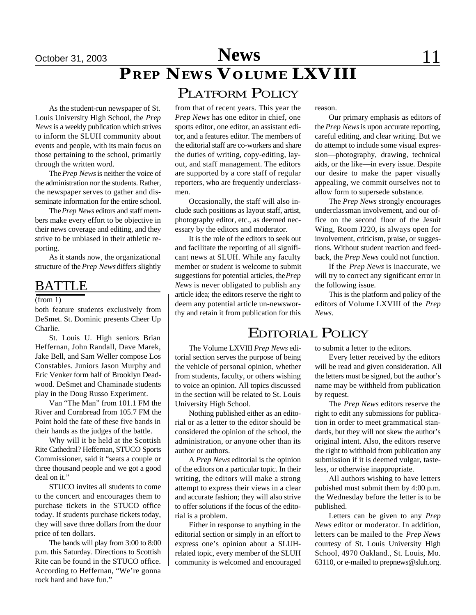# *PREP NEWS* **VOLUME LXVIII**

### PLATFORM POLICY

As the student-run newspaper of St. Louis University High School, the *Prep News* is a weekly publication which strives to inform the SLUH community about events and people, with its main focus on those pertaining to the school, primarily through the written word.

The *Prep News* is neither the voice of the administration nor the students. Rather, the newspaper serves to gather and disseminate information for the entire school.

The *Prep News* editors and staff members make every effort to be objective in their news coverage and editing, and they strive to be unbiased in their athletic reporting.

As it stands now, the organizational structure of the *Prep News* differs slightly

### **BATTLE**

 $(from 1)$ 

both feature students exclusively from DeSmet. St. Dominic presents Cheer Up Charlie.

St. Louis U. High seniors Brian Heffernan, John Randall, Dave Marek, Jake Bell, and Sam Weller compose Los Constables. Juniors Jason Murphy and Eric Venker form half of Brooklyn Deadwood. DeSmet and Chaminade students play in the Doug Russo Experiment.

Van "The Man" from 101.1 FM the River and Cornbread from 105.7 FM the Point hold the fate of these five bands in their hands as the judges of the battle.

Why will it be held at the Scottish Rite Cathedral? Heffernan, STUCO Sports Commissioner, said it "seats a couple or three thousand people and we got a good deal on it."

STUCO invites all students to come to the concert and encourages them to purchase tickets in the STUCO office today. If students purchase tickets today, they will save three dollars from the door price of ten dollars.

The bands will play from 3:00 to 8:00 p.m. this Saturday. Directions to Scottish Rite can be found in the STUCO office. According to Heffernan, "We're gonna rock hard and have fun."

from that of recent years. This year the *Prep News* has one editor in chief, one sports editor, one editor, an assistant editor, and a features editor. The members of the editorial staff are co-workers and share the duties of writing, copy-editing, layout, and staff management. The editors are supported by a core staff of regular reporters, who are frequently underclassmen.

Occasionally, the staff will also include such positions as layout staff, artist, photography editor, etc., as deemed necessary by the editors and moderator.

It is the role of the editors to seek out and facilitate the reporting of all significant news at SLUH. While any faculty member or student is welcome to submit suggestions for potential articles, the *Prep News* is never obligated to publish any article idea; the editors reserve the right to deem any potential article un-newsworthy and retain it from publication for this

the vehicle of personal opinion, whether from students, faculty, or others wishing to voice an opinion. All topics discussed in the section will be related to St. Louis

Nothing published either as an editorial or as a letter to the editor should be considered the opinion of the school, the administration, or anyone other than its

A *Prep News* editorial is the opinion of the editors on a particular topic. In their writing, the editors will make a strong attempt to express their views in a clear and accurate fashion; they will also strive to offer solutions if the focus of the edito-

Either in response to anything in the editorial section or simply in an effort to express one's opinion about a SLUHrelated topic, every member of the SLUH community is welcomed and encouraged

University High School.

author or authors.

rial is a problem.

reason.

Our primary emphasis as editors of the *Prep News* is upon accurate reporting, careful editing, and clear writing. But we do attempt to include some visual expression—photography, drawing, technical aids, or the like—in every issue. Despite our desire to make the paper visually appealing, we commit ourselves not to allow form to supersede substance.

The *Prep News* strongly encourages underclassman involvement, and our office on the second floor of the Jesuit Wing, Room J220, is always open for involvement, criticism, praise, or suggestions. Without student reaction and feedback, the *Prep News* could not function.

If the *Prep News* is inaccurate, we will try to correct any significant error in the following issue.

This is the platform and policy of the editors of Volume LXVIII of the *Prep News*.

### EDITORIAL POLICY

The Volume LXVIII *Prep News* editorial section serves the purpose of being to submit a letter to the editors.

Every letter received by the editors will be read and given consideration. All the letters must be signed, but the author's name may be withheld from publication by request.

The *Prep News* editors reserve the right to edit any submissions for publication in order to meet grammatical standards, but they will not skew the author's original intent. Also, the editors reserve the right to withhold from publication any submission if it is deemed vulgar, tasteless, or otherwise inappropriate.

All authors wishing to have letters pubished must submit them by 4:00 p.m. the Wednesday before the letter is to be published.

Letters can be given to any *Prep News* editor or moderator. In addition, letters can be mailed to the *Prep News* courtesy of St. Louis University High School, 4970 Oakland., St. Louis, Mo. 63110, or e-mailed to prepnews@sluh.org.